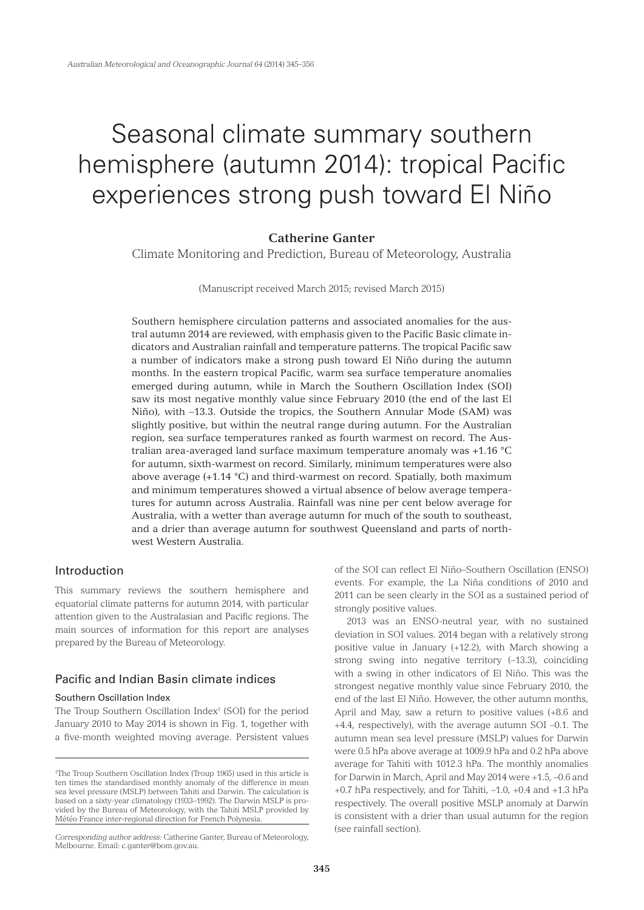# Seasonal climate summary southern hemisphere (autumn 2014): tropical Pacific experiences strong push toward El Niño

# **Catherine Ganter**

Climate Monitoring and Prediction, Bureau of Meteorology, Australia

(Manuscript received March 2015; revised March 2015)

Southern hemisphere circulation patterns and associated anomalies for the austral autumn 2014 are reviewed, with emphasis given to the Pacific Basic climate indicators and Australian rainfall and temperature patterns. The tropical Pacific saw a number of indicators make a strong push toward El Niño during the autumn months. In the eastern tropical Pacific, warm sea surface temperature anomalies emerged during autumn, while in March the Southern Oscillation Index (SOI) saw its most negative monthly value since February 2010 (the end of the last El Niño), with –13.3. Outside the tropics, the Southern Annular Mode (SAM) was slightly positive, but within the neutral range during autumn. For the Australian region, sea surface temperatures ranked as fourth warmest on record. The Australian area-averaged land surface maximum temperature anomaly was +1.16 °C for autumn, sixth-warmest on record. Similarly, minimum temperatures were also above average (+1.14 °C) and third-warmest on record. Spatially, both maximum and minimum temperatures showed a virtual absence of below average temperatures for autumn across Australia. Rainfall was nine per cent below average for Australia, with a wetter than average autumn for much of the south to southeast, and a drier than average autumn for southwest Queensland and parts of northwest Western Australia.

# Introduction

This summary reviews the southern hemisphere and equatorial climate patterns for autumn 2014, with particular attention given to the Australasian and Pacific regions. The main sources of information for this report are analyses prepared by the Bureau of Meteorology.

# Pacific and Indian Basin climate indices

# Southern Oscillation Index

The Troup Southern Oscillation Index<sup>1</sup> (SOI) for the period January 2010 to May 2014 is shown in Fig. 1, together with a five-month weighted moving average. Persistent values

of the SOI can reflect El Niño–Southern Oscillation (ENSO) events. For example, the La Niña conditions of 2010 and 2011 can be seen clearly in the SOI as a sustained period of strongly positive values.

2013 was an ENSO-neutral year, with no sustained deviation in SOI values. 2014 began with a relatively strong positive value in January (+12.2), with March showing a strong swing into negative territory (–13.3), coinciding with a swing in other indicators of El Niño. This was the strongest negative monthly value since February 2010, the end of the last El Niño. However, the other autumn months, April and May, saw a return to positive values (+8.6 and +4.4, respectively), with the average autumn SOI –0.1. The autumn mean sea level pressure (MSLP) values for Darwin were 0.5 hPa above average at 1009.9 hPa and 0.2 hPa above average for Tahiti with 1012.3 hPa. The monthly anomalies for Darwin in March, April and May 2014 were +1.5, –0.6 and +0.7 hPa respectively, and for Tahiti, –1.0, +0.4 and +1.3 hPa respectively. The overall positive MSLP anomaly at Darwin is consistent with a drier than usual autumn for the region (see rainfall section).

<sup>1</sup> The Troup Southern Oscillation Index (Troup 1965) used in this article is ten times the standardised monthly anomaly of the difference in mean sea level pressure (MSLP) between Tahiti and Darwin. The calculation is based on a sixty-year climatology (1933–1992). The Darwin MSLP is provided by the Bureau of Meteorology, with the Tahiti MSLP provided by Météo France inter-regional direction for French Polynesia.

*Corresponding author address:* Catherine Ganter, Bureau of Meteorology, Melbourne. Email: c.ganter@bom.gov.au.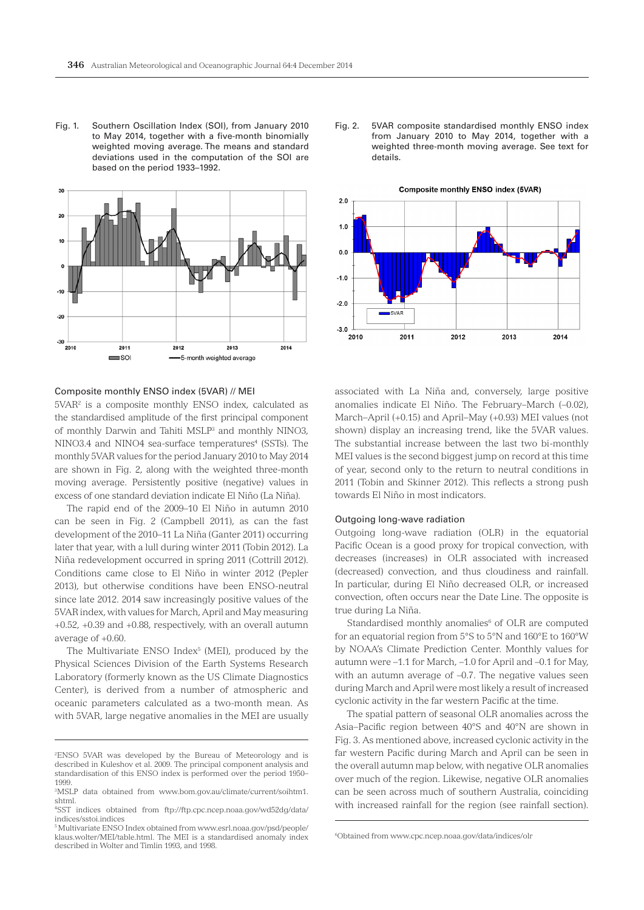Fig. 1. Southern Oscillation Index (SOI), from January 2010 to May 2014, together with a five-month binomially weighted moving average. The means and standard deviations used in the computation of the SOI are based on the period 1933–1992.



#### Fig. 2. 5VAR composite standardised monthly ENSO index from January 2010 to May 2014, together with a weighted three-month moving average. See text for details.



#### Composite monthly ENSO index (5VAR) // MEI

5VAR<sup>2</sup> is a composite monthly ENSO index, calculated as the standardised amplitude of the first principal component of monthly Darwin and Tahiti MSLP3 and monthly NINO3, NINO3.4 and NINO4 sea-surface temperatures<sup>4</sup> (SSTs). The monthly 5VAR values for the period January 2010 to May 2014 are shown in Fig. 2, along with the weighted three-month moving average. Persistently positive (negative) values in excess of one standard deviation indicate El Niño (La Niña).

The rapid end of the 2009–10 El Niño in autumn 2010 can be seen in Fig. 2 (Campbell 2011), as can the fast development of the 2010–11 La Niña (Ganter 2011) occurring later that year, with a lull during winter 2011 (Tobin 2012). La Niña redevelopment occurred in spring 2011 (Cottrill 2012). Conditions came close to El Niño in winter 2012 (Pepler 2013), but otherwise conditions have been ENSO-neutral since late 2012. 2014 saw increasingly positive values of the 5VAR index, with values for March, April and May measuring +0.52, +0.39 and +0.88, respectively, with an overall autumn average of +0.60.

The Multivariate ENSO Index<sup>5</sup> (MEI), produced by the Physical Sciences Division of the Earth Systems Research Laboratory (formerly known as the US Climate Diagnostics Center), is derived from a number of atmospheric and oceanic parameters calculated as a two-month mean. As with 5VAR, large negative anomalies in the MEI are usually

associated with La Niña and, conversely, large positive anomalies indicate El Niño. The February–March (–0.02), March–April (+0.15) and April–May (+0.93) MEI values (not shown) display an increasing trend, like the 5VAR values. The substantial increase between the last two bi-monthly MEI values is the second biggest jump on record at this time of year, second only to the return to neutral conditions in 2011 (Tobin and Skinner 2012). This reflects a strong push towards El Niño in most indicators.

# Outgoing long-wave radiation

Outgoing long-wave radiation (OLR) in the equatorial Pacific Ocean is a good proxy for tropical convection, with decreases (increases) in OLR associated with increased (decreased) convection, and thus cloudiness and rainfall. In particular, during El Niño decreased OLR, or increased convection, often occurs near the Date Line. The opposite is true during La Niña.

Standardised monthly anomalies<sup>6</sup> of OLR are computed for an equatorial region from 5°S to 5°N and 160°E to 160°W by NOAA's Climate Prediction Center. Monthly values for autumn were –1.1 for March, –1.0 for April and –0.1 for May, with an autumn average of –0.7. The negative values seen during March and April were most likely a result of increased cyclonic activity in the far western Pacific at the time.

The spatial pattern of seasonal OLR anomalies across the Asia–Pacific region between 40°S and 40°N are shown in Fig. 3. As mentioned above, increased cyclonic activity in the far western Pacific during March and April can be seen in the overall autumn map below, with negative OLR anomalies over much of the region. Likewise, negative OLR anomalies can be seen across much of southern Australia, coinciding with increased rainfall for the region (see rainfall section).

<sup>2</sup> ENSO 5VAR was developed by the Bureau of Meteorology and is described in Kuleshov et al. 2009. The principal component analysis and standardisation of this ENSO index is performed over the period 1950– 1999.

<sup>3</sup> MSLP data obtained from www.bom.gov.au/climate/current/soihtm1. shtml.

<sup>4</sup> SST indices obtained from ftp://ftp.cpc.ncep.noaa.gov/wd52dg/data/ indices/sstoi.indices

<sup>5</sup> Multivariate ENSO Index obtained from www.esrl.noaa.gov/psd/people/ klaus.wolter/MEI/table.html. The MEI is a standardised anomaly index described in Wolter and Timlin 1993, and 1998.

<sup>6</sup> Obtained from www.cpc.ncep.noaa.gov/data/indices/olr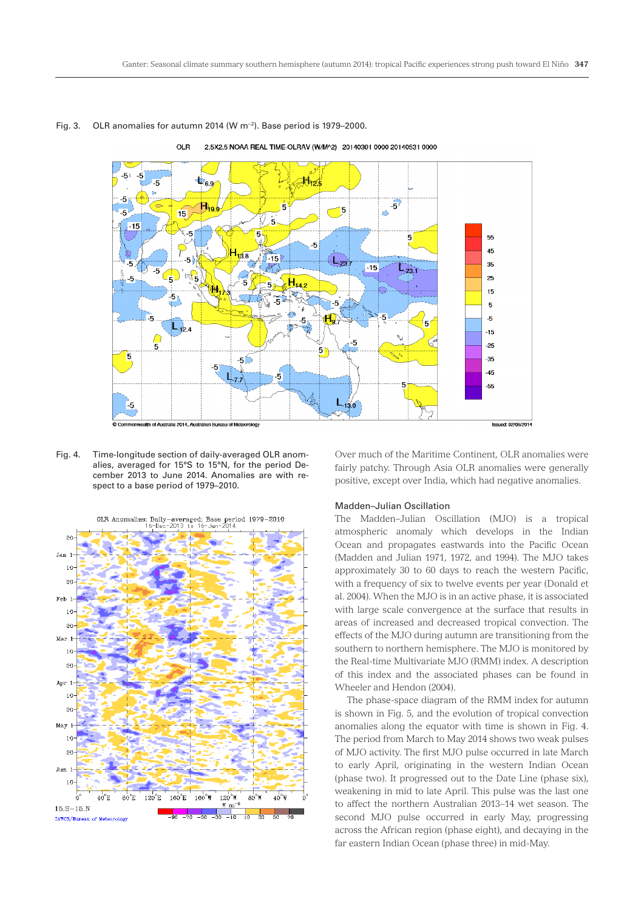

# Fig. 3. OLR anomalies for autumn 2014 (W m−2). Base period is 1979–2000.

Fig. 4. Time-longitude section of daily-averaged OLR anomalies, averaged for 15°S to 15°N, for the period De-





Over much of the Maritime Continent, OLR anomalies were fairly patchy. Through Asia OLR anomalies were generally positive, except over India, which had negative anomalies.

#### Madden–Julian Oscillation

The Madden–Julian Oscillation (MJO) is a tropical atmospheric anomaly which develops in the Indian Ocean and propagates eastwards into the Pacific Ocean (Madden and Julian 1971, 1972, and 1994). The MJO takes approximately 30 to 60 days to reach the western Pacific, with a frequency of six to twelve events per year (Donald et al. 2004). When the MJO is in an active phase, it is associated with large scale convergence at the surface that results in areas of increased and decreased tropical convection. The effects of the MJO during autumn are transitioning from the southern to northern hemisphere. The MJO is monitored by the Real-time Multivariate MJO (RMM) index. A description of this index and the associated phases can be found in Wheeler and Hendon (2004).

The phase-space diagram of the RMM index for autumn is shown in Fig. 5, and the evolution of tropical convection anomalies along the equator with time is shown in Fig. 4. The period from March to May 2014 shows two weak pulses of MJO activity. The first MJO pulse occurred in late March to early April, originating in the western Indian Ocean (phase two). It progressed out to the Date Line (phase six), weakening in mid to late April. This pulse was the last one to affect the northern Australian 2013–14 wet season. The second MJO pulse occurred in early May, progressing across the African region (phase eight), and decaying in the far eastern Indian Ocean (phase three) in mid-May.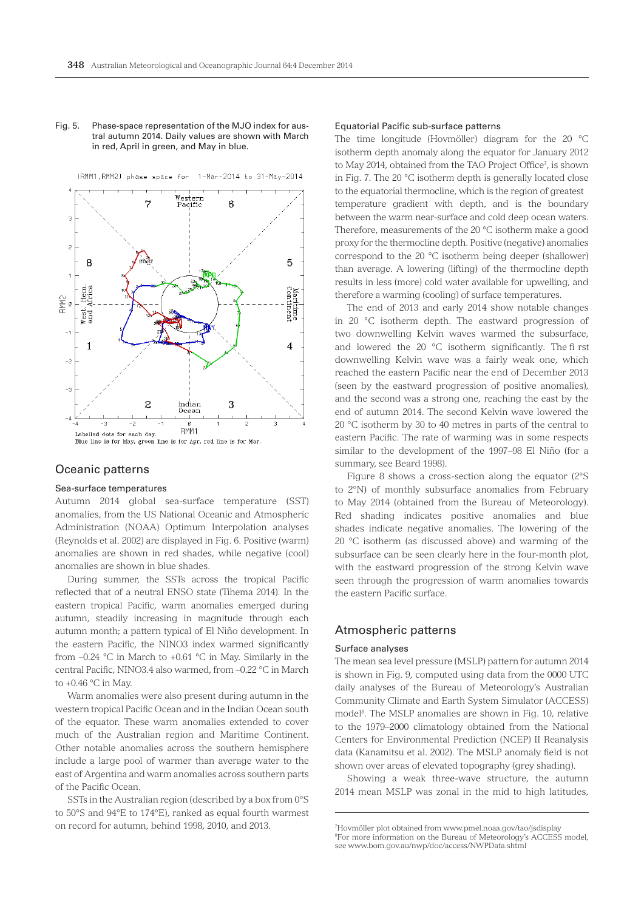# Fig. 5. Phase-space representation of the MJO index for austral autumn 2014. Daily values are shown with March in red, April in green, and May in blue.



# (RMM1, RMM2) phase space for 1-Mar-2014 to 31-May-2014

# Oceanic patterns

# Sea-surface temperatures

Autumn 2014 global sea-surface temperature (SST) anomalies, from the US National Oceanic and Atmospheric Administration (NOAA) Optimum Interpolation analyses (Reynolds et al. 2002) are displayed in Fig. 6. Positive (warm) anomalies are shown in red shades, while negative (cool) anomalies are shown in blue shades.

During summer, the SSTs across the tropical Pacific reflected that of a neutral ENSO state (Tihema 2014). In the eastern tropical Pacific, warm anomalies emerged during autumn, steadily increasing in magnitude through each autumn month; a pattern typical of El Niño development. In the eastern Pacific, the NINO3 index warmed significantly from –0.24 °C in March to +0.61 °C in May. Similarly in the central Pacific, NINO3.4 also warmed, from –0.22 °C in March to  $+0.46$  °C in May.

Warm anomalies were also present during autumn in the western tropical Pacific Ocean and in the Indian Ocean south of the equator. These warm anomalies extended to cover much of the Australian region and Maritime Continent. Other notable anomalies across the southern hemisphere include a large pool of warmer than average water to the east of Argentina and warm anomalies across southern parts of the Pacific Ocean.

SSTs in the Australian region (described by a box from 0°S to 50°S and 94°E to 174°E), ranked as equal fourth warmest on record for autumn, behind 1998, 2010, and 2013.

#### Equatorial Pacific sub-surface patterns

The time longitude (Hovmöller) diagram for the 20 °C isotherm depth anomaly along the equator for January 2012 to May 2014, obtained from the TAO Project Office<sup>7</sup>, is shown in Fig. 7. The 20 °C isotherm depth is generally located close to the equatorial thermocline, which is the region of greatest temperature gradient with depth, and is the boundary between the warm near-surface and cold deep ocean waters. Therefore, measurements of the 20 °C isotherm make a good proxy for the thermocline depth. Positive (negative) anomalies correspond to the 20 °C isotherm being deeper (shallower) than average. A lowering (lifting) of the thermocline depth results in less (more) cold water available for upwelling, and therefore a warming (cooling) of surface temperatures.

The end of 2013 and early 2014 show notable changes in 20 °C isotherm depth. The eastward progression of two downwelling Kelvin waves warmed the subsurface, and lowered the 20 °C isotherm significantly. The fi rst downwelling Kelvin wave was a fairly weak one, which reached the eastern Pacific near the end of December 2013 (seen by the eastward progression of positive anomalies), and the second was a strong one, reaching the east by the end of autumn 2014. The second Kelvin wave lowered the 20 °C isotherm by 30 to 40 metres in parts of the central to eastern Pacific. The rate of warming was in some respects similar to the development of the 1997–98 El Niño (for a summary, see Beard 1998).

Figure 8 shows a cross-section along the equator (2°S to 2°N) of monthly subsurface anomalies from February to May 2014 (obtained from the Bureau of Meteorology). Red shading indicates positive anomalies and blue shades indicate negative anomalies. The lowering of the 20 °C isotherm (as discussed above) and warming of the subsurface can be seen clearly here in the four-month plot, with the eastward progression of the strong Kelvin wave seen through the progression of warm anomalies towards the eastern Pacific surface.

# Atmospheric patterns

# Surface analyses

The mean sea level pressure (MSLP) pattern for autumn 2014 is shown in Fig. 9, computed using data from the 0000 UTC daily analyses of the Bureau of Meteorology's Australian Community Climate and Earth System Simulator (ACCESS) model<sup>8</sup>. The MSLP anomalies are shown in Fig. 10, relative to the 1979–2000 climatology obtained from the National Centers for Environmental Prediction (NCEP) II Reanalysis data (Kanamitsu et al. 2002). The MSLP anomaly field is not shown over areas of elevated topography (grey shading).

Showing a weak three-wave structure, the autumn 2014 mean MSLP was zonal in the mid to high latitudes,

<sup>7</sup> Hovmöller plot obtained from www.pmel.noaa.gov/tao/jsdisplay 8 For more information on the Bureau of Meteorology's ACCESS model, see www.bom.gov.au/nwp/doc/access/NWPData.shtml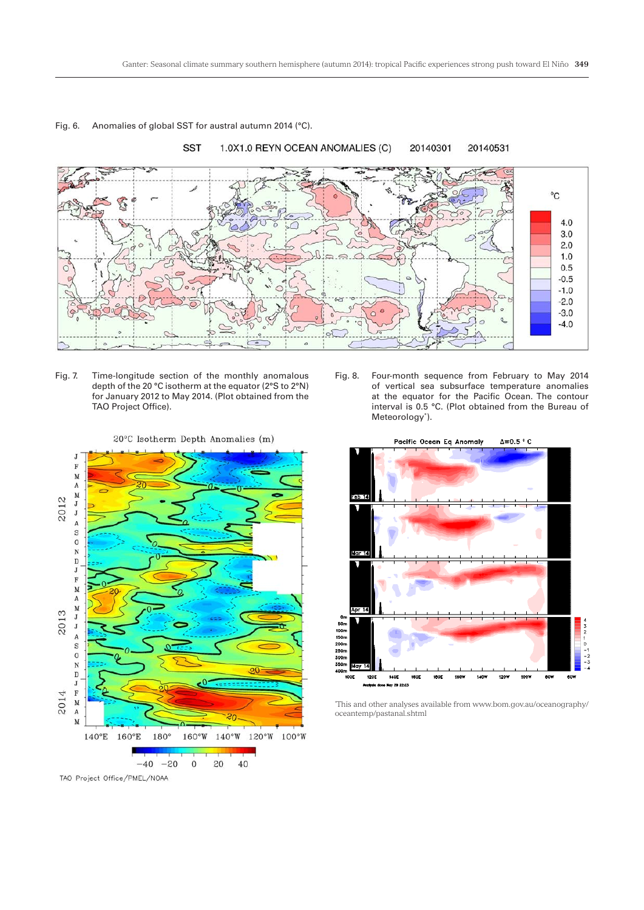

# Fig. 6. Anomalies of global SST for austral autumn 2014 (°C).







#### \* This and other analyses available from www.bom.gov.au/oceanography/ oceantemp/pastanal.shtml

20°C Isotherm Depth Anomalies (m)



TAO Project Office/PMEL/NOAA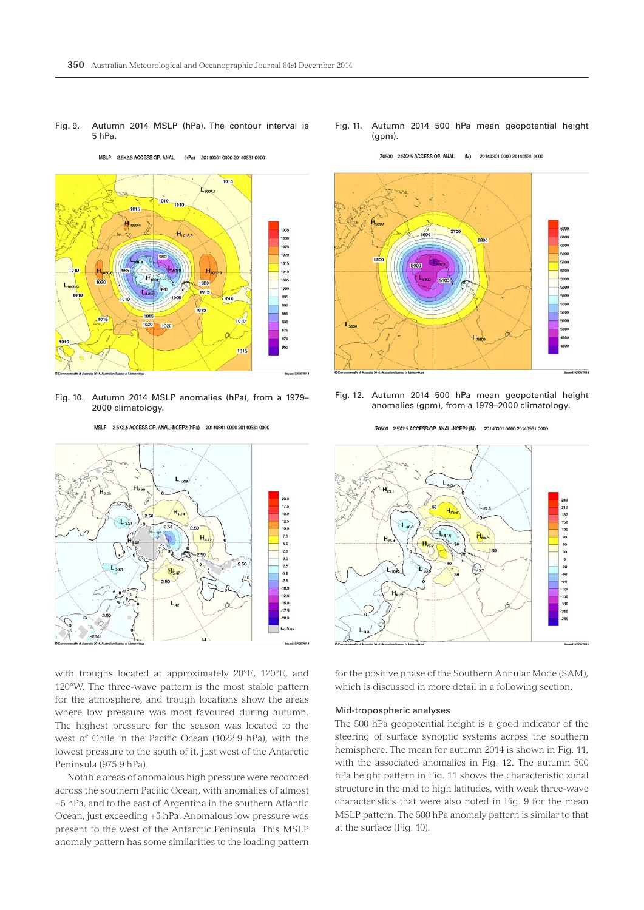

MSLP 2.5X2.5 ACCESS OP. ANAL.  $(hPa)$ 20140301 0000 20140531 0000



Fig. 10. Autumn 2014 MSLP anomalies (hPa), from a 1979– 2000 climatology.



MSLP 2.5X2.5 ACCESS OP. ANAL-NCEP2 (hPa) 20140301 0000 20140531 0000

with troughs located at approximately 20°E, 120°E, and 120°W. The three-wave pattern is the most stable pattern for the atmosphere, and trough locations show the areas where low pressure was most favoured during autumn. The highest pressure for the season was located to the west of Chile in the Pacific Ocean (1022.9 hPa), with the lowest pressure to the south of it, just west of the Antarctic Peninsula (975.9 hPa).

Notable areas of anomalous high pressure were recorded across the southern Pacific Ocean, with anomalies of almost +5 hPa, and to the east of Argentina in the southern Atlantic Ocean, just exceeding +5 hPa. Anomalous low pressure was present to the west of the Antarctic Peninsula. This MSLP anomaly pattern has some similarities to the loading pattern

Fig. 11. Autumn 2014 500 hPa mean geopotential height (gpm).

Z0500 2.5X2.5 ACCESS OP. ANAL. (M) 20140301 0000 20140531 0000



Fig. 12. Autumn 2014 500 hPa mean geopotential height anomalies (gpm), from a 1979–2000 climatology.



for the positive phase of the Southern Annular Mode (SAM), which is discussed in more detail in a following section.

#### Mid-tropospheric analyses

The 500 hPa geopotential height is a good indicator of the steering of surface synoptic systems across the southern hemisphere. The mean for autumn 2014 is shown in Fig. 11, with the associated anomalies in Fig. 12. The autumn 500 hPa height pattern in Fig. 11 shows the characteristic zonal structure in the mid to high latitudes, with weak three-wave characteristics that were also noted in Fig. 9 for the mean MSLP pattern. The 500 hPa anomaly pattern is similar to that at the surface (Fig. 10).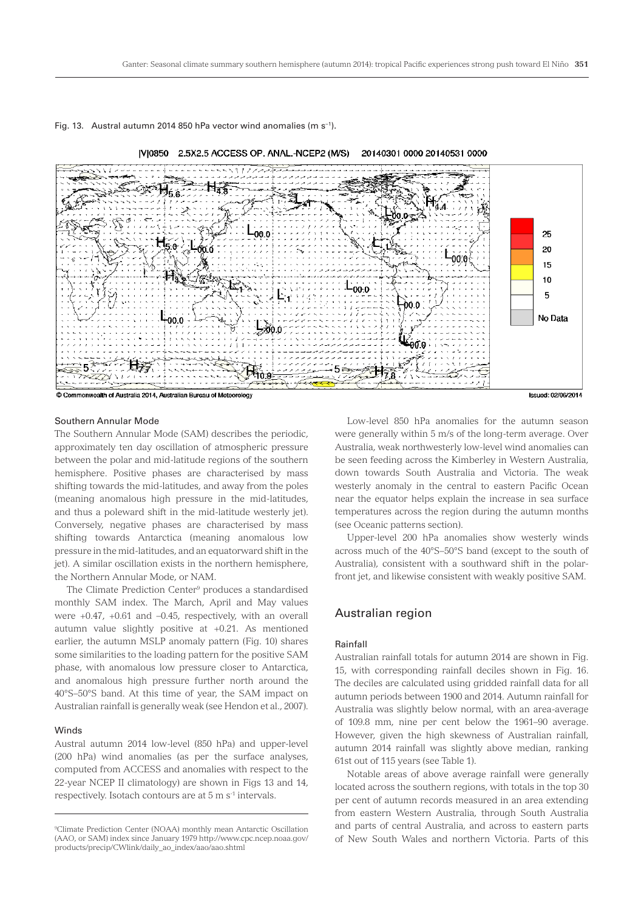



Southern Annular Mode

The Southern Annular Mode (SAM) describes the periodic, approximately ten day oscillation of atmospheric pressure between the polar and mid-latitude regions of the southern hemisphere. Positive phases are characterised by mass shifting towards the mid-latitudes, and away from the poles (meaning anomalous high pressure in the mid-latitudes, and thus a poleward shift in the mid-latitude westerly jet). Conversely, negative phases are characterised by mass shifting towards Antarctica (meaning anomalous low pressure in the mid-latitudes, and an equatorward shift in the jet). A similar oscillation exists in the northern hemisphere, the Northern Annular Mode, or NAM.

The Climate Prediction Center<sup>9</sup> produces a standardised monthly SAM index. The March, April and May values were +0.47, +0.61 and –0.45, respectively, with an overall autumn value slightly positive at +0.21. As mentioned earlier, the autumn MSLP anomaly pattern (Fig. 10) shares some similarities to the loading pattern for the positive SAM phase, with anomalous low pressure closer to Antarctica, and anomalous high pressure further north around the 40°S–50°S band. At this time of year, the SAM impact on Australian rainfall is generally weak (see Hendon et al., 2007).

# Winds

Austral autumn 2014 low-level (850 hPa) and upper-level (200 hPa) wind anomalies (as per the surface analyses, computed from ACCESS and anomalies with respect to the 22-year NCEP II climatology) are shown in Figs 13 and 14, respectively. Isotach contours are at 5 m s-1 intervals.

Low-level 850 hPa anomalies for the autumn season were generally within 5 m/s of the long-term average. Over Australia, weak northwesterly low-level wind anomalies can be seen feeding across the Kimberley in Western Australia, down towards South Australia and Victoria. The weak westerly anomaly in the central to eastern Pacific Ocean near the equator helps explain the increase in sea surface temperatures across the region during the autumn months (see Oceanic patterns section).

Upper-level 200 hPa anomalies show westerly winds across much of the 40°S–50°S band (except to the south of Australia), consistent with a southward shift in the polarfront jet, and likewise consistent with weakly positive SAM.

# Australian region

# Rainfall

Australian rainfall totals for autumn 2014 are shown in Fig. 15, with corresponding rainfall deciles shown in Fig. 16. The deciles are calculated using gridded rainfall data for all autumn periods between 1900 and 2014. Autumn rainfall for Australia was slightly below normal, with an area-average of 109.8 mm, nine per cent below the 1961–90 average. However, given the high skewness of Australian rainfall, autumn 2014 rainfall was slightly above median, ranking 61st out of 115 years (see Table 1).

Notable areas of above average rainfall were generally located across the southern regions, with totals in the top 30 per cent of autumn records measured in an area extending from eastern Western Australia, through South Australia and parts of central Australia, and across to eastern parts of New South Wales and northern Victoria. Parts of this

<sup>9</sup> Climate Prediction Center (NOAA) monthly mean Antarctic Oscillation (AAO, or SAM) index since January 1979 http://www.cpc.ncep.noaa.gov/ products/precip/CWlink/daily\_ao\_index/aao/aao.shtml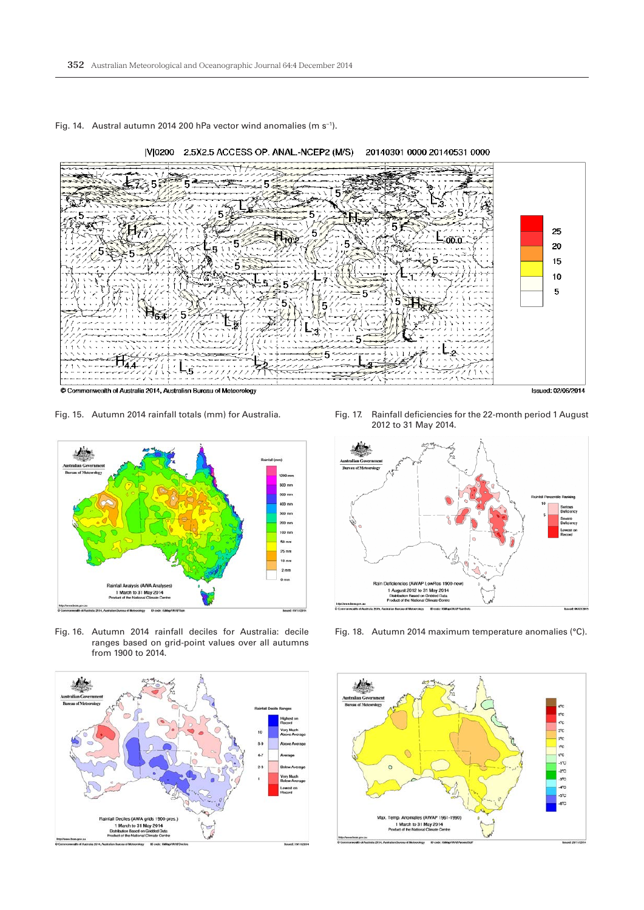







Fig. 16. Autumn 2014 rainfall deciles for Australia: decile ranges based on grid-point values over all autumns from 1900 to 2014.



Fig. 17. Rainfall deficiencies for the 22-month period 1 August 2012 to 31 May 2014.



Fig. 18. Autumn 2014 maximum temperature anomalies (°C).

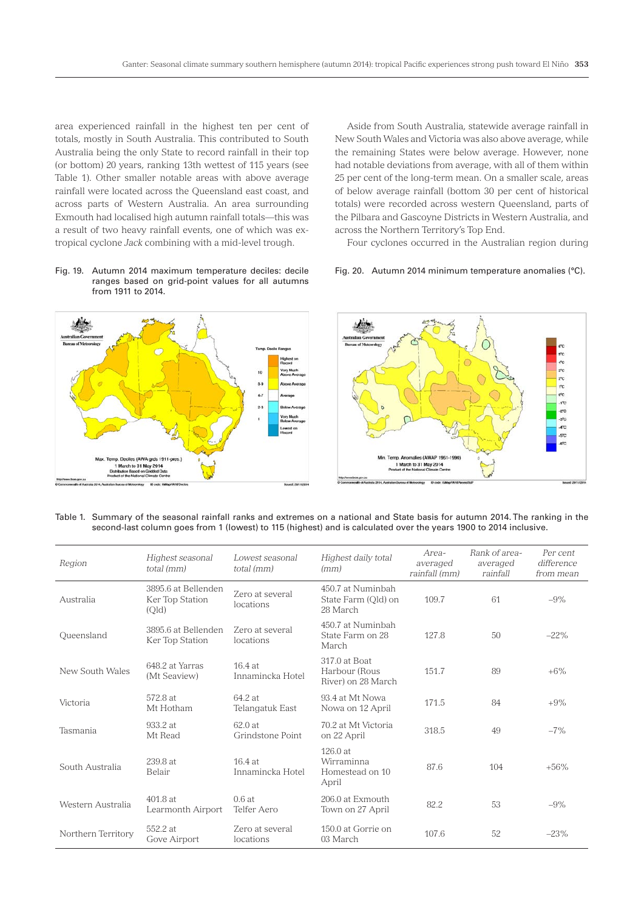area experienced rainfall in the highest ten per cent of totals, mostly in South Australia. This contributed to South Australia being the only State to record rainfall in their top (or bottom) 20 years, ranking 13th wettest of 115 years (see Table 1). Other smaller notable areas with above average rainfall were located across the Queensland east coast, and across parts of Western Australia. An area surrounding Exmouth had localised high autumn rainfall totals—this was a result of two heavy rainfall events, one of which was extropical cyclone *Jack* combining with a mid-level trough.

Fig. 19. Autumn 2014 maximum temperature deciles: decile ranges based on grid-point values for all autumns from 1911 to 2014.

Aside from South Australia, statewide average rainfall in New South Wales and Victoria was also above average, while the remaining States were below average. However, none had notable deviations from average, with all of them within 25 per cent of the long-term mean. On a smaller scale, areas of below average rainfall (bottom 30 per cent of historical totals) were recorded across western Queensland, parts of the Pilbara and Gascoyne Districts in Western Australia, and across the Northern Territory's Top End.

Four cyclones occurred in the Australian region during

#### Fig. 20. Autumn 2014 minimum temperature anomalies (°C).



# Table 1. Summary of the seasonal rainfall ranks and extremes on a national and State basis for autumn 2014. The ranking in the second-last column goes from 1 (lowest) to 115 (highest) and is calculated over the years 1900 to 2014 inclusive.

| Region             | Highest seasonal<br>total (mm)                  | Lowest seasonal<br>total (mm) | Highest daily total<br>(mm)                          | Area-<br>averaged<br>rainfall (mm) | Rank of area-<br>averaged<br>rainfall | Per cent<br>difference<br>from mean |
|--------------------|-------------------------------------------------|-------------------------------|------------------------------------------------------|------------------------------------|---------------------------------------|-------------------------------------|
| Australia          | 3895.6 at Bellenden<br>Ker Top Station<br>(Old) | Zero at several<br>locations  | 450.7 at Numinbah<br>State Farm (Old) on<br>28 March | 109.7                              | 61                                    | $-9\%$                              |
| Oueensland         | 3895.6 at Bellenden<br>Ker Top Station          | Zero at several<br>locations  | 450.7 at Numinbah<br>State Farm on 28<br>March       | 127.8                              | 50                                    | $-22%$                              |
| New South Wales    | 648.2 at Yarras<br>(Mt Seaview)                 | $16.4$ at<br>Innamincka Hotel | 317.0 at Boat<br>Harbour (Rous<br>River) on 28 March | 151.7                              | 89                                    | $+6\%$                              |
| Victoria           | 572.8 at<br>Mt Hotham                           | 64.2 at<br>Telangatuk East    | 93.4 at Mt Nowa<br>Nowa on 12 April                  | 171.5                              | 84                                    | $+9%$                               |
| Tasmania           | 933.2 at<br>Mt Read                             | 62.0at<br>Grindstone Point    | 70.2 at Mt Victoria<br>on 22 April                   | 318.5                              | 49                                    | $-7\%$                              |
| South Australia    | 239.8 at<br><b>Belair</b>                       | $16.4$ at<br>Innamincka Hotel | $126.0$ at<br>Wirraminna<br>Homestead on 10<br>April | 87.6                               | 104                                   | $+56%$                              |
| Western Australia  | 401.8 at<br>Learmonth Airport                   | 0.6at<br>Telfer Aero          | 206.0 at Exmouth<br>Town on 27 April                 | 82.2                               | 53                                    | $-9\%$                              |
| Northern Territory | 552.2 at<br>Gove Airport                        | Zero at several<br>locations  | 150.0 at Gorrie on<br>03 March                       | 107.6                              | 52                                    | $-23%$                              |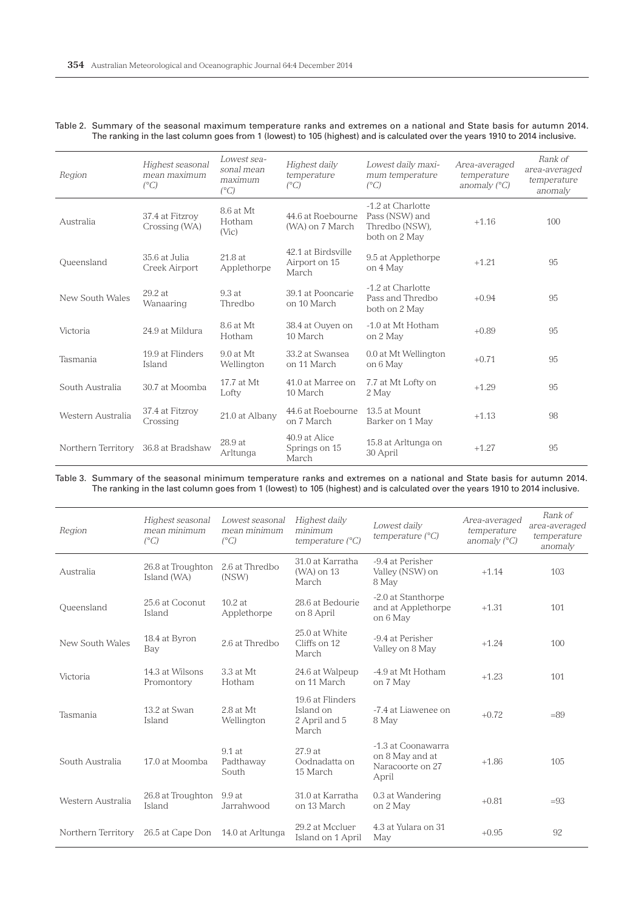# Table 2. Summary of the seasonal maximum temperature ranks and extremes on a national and State basis for autumn 2014. The ranking in the last column goes from 1 (lowest) to 105 (highest) and is calculated over the years 1910 to 2014 inclusive.

| Region             | Highest seasonal<br>mean maximum<br>$(^{\circ}C)$ | Lowest sea-<br>sonal mean<br>maximum<br>$(^{\circ}C)$ | Highest daily<br>temperature<br>$(^{\circ}C)$ | Lowest daily maxi-<br>mum temperature<br>$(^{\circ}C)$                 | Area-averaged<br>temperature<br>anomaly $(^{\circ}C)$ | Rank of<br>area-averaged<br>temperature<br>anomaly |
|--------------------|---------------------------------------------------|-------------------------------------------------------|-----------------------------------------------|------------------------------------------------------------------------|-------------------------------------------------------|----------------------------------------------------|
| Australia          | 37.4 at Fitzroy<br>Crossing (WA)                  | 8.6 at Mt<br>Hotham<br>(Vic)                          | 44.6 at Roebourne<br>(WA) on 7 March          | -1.2 at Charlotte<br>Pass (NSW) and<br>Thredbo (NSW),<br>both on 2 May | $+1.16$                                               | 100                                                |
| Oueensland         | 35.6 at Julia<br>Creek Airport                    | 21.8 at<br>Applethorpe                                | 42.1 at Birdsville<br>Airport on 15<br>March  | 9.5 at Applethorpe<br>on 4 May                                         | $+1.21$                                               | 95                                                 |
| New South Wales    | $29.2$ at<br>Wanaaring                            | 9.3at<br>Thredbo                                      | 39.1 at Pooncarie<br>on 10 March              | -1.2 at Charlotte<br>Pass and Thredbo<br>both on 2 May                 | $+0.94$                                               | 95                                                 |
| Victoria           | 24.9 at Mildura                                   | 8.6 at Mt<br>Hotham                                   | 38.4 at Ouyen on<br>10 March                  | -1.0 at Mt Hotham<br>on 2 May                                          | $+0.89$                                               | 95                                                 |
| Tasmania           | 19.9 at Flinders<br>Island                        | $9.0$ at Mt<br>Wellington                             | 33.2 at Swansea<br>on 11 March                | 0.0 at Mt Wellington<br>on 6 May                                       | $+0.71$                                               | 95                                                 |
| South Australia    | 30.7 at Moomba                                    | 17.7 at Mt<br>Lofty                                   | 41.0 at Marree on<br>10 March                 | 7.7 at Mt Lofty on<br>2 May                                            | $+1.29$                                               | 95                                                 |
| Western Australia  | 37.4 at Fitzrov<br>Crossing                       | 21.0 at Albany                                        | 44.6 at Roebourne<br>on 7 March               | 13.5 at Mount<br>Barker on 1 May                                       | $+1.13$                                               | 98                                                 |
| Northern Territory | 36.8 at Bradshaw                                  | 28.9 at<br>Arltunga                                   | 40.9 at Alice<br>Springs on 15<br>March       | 15.8 at Arltunga on<br>30 April                                        | $+1.27$                                               | 95                                                 |

Table 3. Summary of the seasonal minimum temperature ranks and extremes on a national and State basis for autumn 2014. The ranking in the last column goes from 1 (lowest) to 105 (highest) and is calculated over the years 1910 to 2014 inclusive.

| Region             | Highest seasonal<br>mean minimum<br>$(^{\circ}C)$ | Lowest seasonal<br>mean minimum<br>$(^{\circ}C)$ | Highest daily<br>minimum<br>temperature $(^{\circ}C)$   | Lowest daily<br>temperature $(^{\circ}C)$                          | Area-averaged<br>temperature<br>anomaly $(^{\circ}C)$ | Rank of<br>area-averaged<br>temperature<br>anomaly |
|--------------------|---------------------------------------------------|--------------------------------------------------|---------------------------------------------------------|--------------------------------------------------------------------|-------------------------------------------------------|----------------------------------------------------|
| Australia          | 26.8 at Troughton<br>Island (WA)                  | 2.6 at Thredbo<br>(NSW)                          | 31.0 at Karratha<br>(WA) on 13<br>March                 | -9.4 at Perisher<br>Valley (NSW) on<br>8 May                       | $+1.14$                                               | 103                                                |
| Queensland         | 25.6 at Coconut<br>Island                         | $10.2$ at<br>Applethorpe                         | 28.6 at Bedourie<br>on 8 April                          | -2.0 at Stanthorpe<br>and at Applethorpe<br>on 6 May               | $+1.31$                                               | 101                                                |
| New South Wales    | 18.4 at Byron<br>Bay                              | 2.6 at Thredbo                                   | 25.0 at White<br>Cliffs on 12<br>March                  | -9.4 at Perisher<br>Valley on 8 May                                | $+1.24$                                               | 100                                                |
| Victoria           | 14.3 at Wilsons<br>Promontory                     | 3.3 at Mt<br>Hotham                              | 24.6 at Walpeup<br>on 11 March                          | -4.9 at Mt Hotham<br>on 7 May                                      | $+1.23$                                               | 101                                                |
| Tasmania           | 13.2 at Swan<br>Island                            | 2.8 at Mt<br>Wellington                          | 19.6 at Flinders<br>Island on<br>2 April and 5<br>March | -7.4 at Liawenee on<br>8 May                                       | $+0.72$                                               | $=89$                                              |
| South Australia    | 17.0 at Moomba                                    | $9.1$ at<br>Padthaway<br>South                   | 27.9at<br>Oodnadatta on<br>15 March                     | -1.3 at Coonawarra<br>on 8 May and at<br>Naracoorte on 27<br>April | $+1.86$                                               | 105                                                |
| Western Australia  | 26.8 at Troughton<br>Island                       | 9.9at<br>Jarrahwood                              | 31.0 at Karratha<br>on 13 March                         | 0.3 at Wandering<br>on 2 May                                       | $+0.81$                                               | $=93$                                              |
| Northern Territory | 26.5 at Cape Don                                  | 14.0 at Arltunga                                 | 29.2 at Mccluer<br>Island on 1 April                    | 4.3 at Yulara on 31<br>May                                         | $+0.95$                                               | 92                                                 |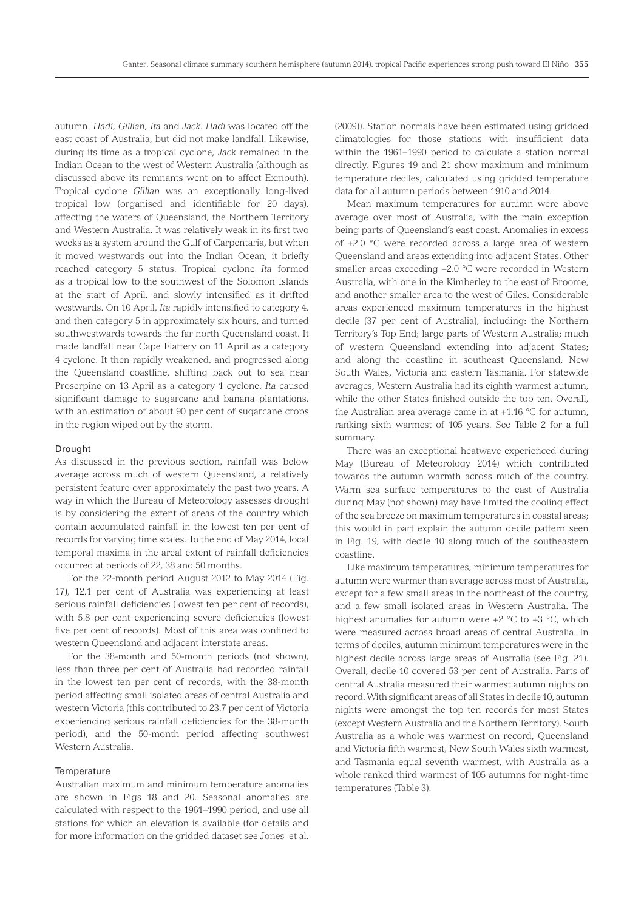autumn: *Hadi, Gillian, Ita* and *Jack*. *Hadi* was located off the east coast of Australia, but did not make landfall. Likewise, during its time as a tropical cyclone, *Jac*k remained in the Indian Ocean to the west of Western Australia (although as discussed above its remnants went on to affect Exmouth). Tropical cyclone *Gillian* was an exceptionally long-lived tropical low (organised and identifiable for 20 days), affecting the waters of Queensland, the Northern Territory and Western Australia. It was relatively weak in its first two weeks as a system around the Gulf of Carpentaria, but when it moved westwards out into the Indian Ocean, it briefly reached category 5 status. Tropical cyclone *Ita* formed as a tropical low to the southwest of the Solomon Islands at the start of April, and slowly intensified as it drifted westwards. On 10 April, *Ita* rapidly intensified to category 4, and then category 5 in approximately six hours, and turned southwestwards towards the far north Queensland coast. It made landfall near Cape Flattery on 11 April as a category 4 cyclone. It then rapidly weakened, and progressed along the Queensland coastline, shifting back out to sea near Proserpine on 13 April as a category 1 cyclone. *Ita* caused significant damage to sugarcane and banana plantations, with an estimation of about 90 per cent of sugarcane crops in the region wiped out by the storm.

#### Drought

As discussed in the previous section, rainfall was below average across much of western Queensland, a relatively persistent feature over approximately the past two years. A way in which the Bureau of Meteorology assesses drought is by considering the extent of areas of the country which contain accumulated rainfall in the lowest ten per cent of records for varying time scales. To the end of May 2014, local temporal maxima in the areal extent of rainfall deficiencies occurred at periods of 22, 38 and 50 months.

For the 22-month period August 2012 to May 2014 (Fig. 17), 12.1 per cent of Australia was experiencing at least serious rainfall deficiencies (lowest ten per cent of records), with 5.8 per cent experiencing severe deficiencies (lowest five per cent of records). Most of this area was confined to western Queensland and adjacent interstate areas.

For the 38-month and 50-month periods (not shown), less than three per cent of Australia had recorded rainfall in the lowest ten per cent of records, with the 38-month period affecting small isolated areas of central Australia and western Victoria (this contributed to 23.7 per cent of Victoria experiencing serious rainfall deficiencies for the 38-month period), and the 50-month period affecting southwest Western Australia.

# **Temperature**

Australian maximum and minimum temperature anomalies are shown in Figs 18 and 20. Seasonal anomalies are calculated with respect to the 1961–1990 period, and use all stations for which an elevation is available (for details and for more information on the gridded dataset see Jones et al.

(2009)). Station normals have been estimated using gridded climatologies for those stations with insufficient data within the 1961–1990 period to calculate a station normal directly. Figures 19 and 21 show maximum and minimum temperature deciles, calculated using gridded temperature data for all autumn periods between 1910 and 2014.

Mean maximum temperatures for autumn were above average over most of Australia, with the main exception being parts of Queensland's east coast. Anomalies in excess of +2.0 °C were recorded across a large area of western Queensland and areas extending into adjacent States. Other smaller areas exceeding +2.0 °C were recorded in Western Australia, with one in the Kimberley to the east of Broome, and another smaller area to the west of Giles. Considerable areas experienced maximum temperatures in the highest decile (37 per cent of Australia), including: the Northern Territory's Top End; large parts of Western Australia; much of western Queensland extending into adjacent States; and along the coastline in southeast Queensland, New South Wales, Victoria and eastern Tasmania. For statewide averages, Western Australia had its eighth warmest autumn, while the other States finished outside the top ten. Overall, the Australian area average came in at +1.16 °C for autumn, ranking sixth warmest of 105 years. See Table 2 for a full summary.

There was an exceptional heatwave experienced during May (Bureau of Meteorology 2014) which contributed towards the autumn warmth across much of the country. Warm sea surface temperatures to the east of Australia during May (not shown) may have limited the cooling effect of the sea breeze on maximum temperatures in coastal areas; this would in part explain the autumn decile pattern seen in Fig. 19, with decile 10 along much of the southeastern coastline.

Like maximum temperatures, minimum temperatures for autumn were warmer than average across most of Australia, except for a few small areas in the northeast of the country, and a few small isolated areas in Western Australia. The highest anomalies for autumn were  $+2$  °C to  $+3$  °C, which were measured across broad areas of central Australia. In terms of deciles, autumn minimum temperatures were in the highest decile across large areas of Australia (see Fig. 21). Overall, decile 10 covered 53 per cent of Australia. Parts of central Australia measured their warmest autumn nights on record. With significant areas of all States in decile 10, autumn nights were amongst the top ten records for most States (except Western Australia and the Northern Territory). South Australia as a whole was warmest on record, Queensland and Victoria fifth warmest, New South Wales sixth warmest, and Tasmania equal seventh warmest, with Australia as a whole ranked third warmest of 105 autumns for night-time temperatures (Table 3).